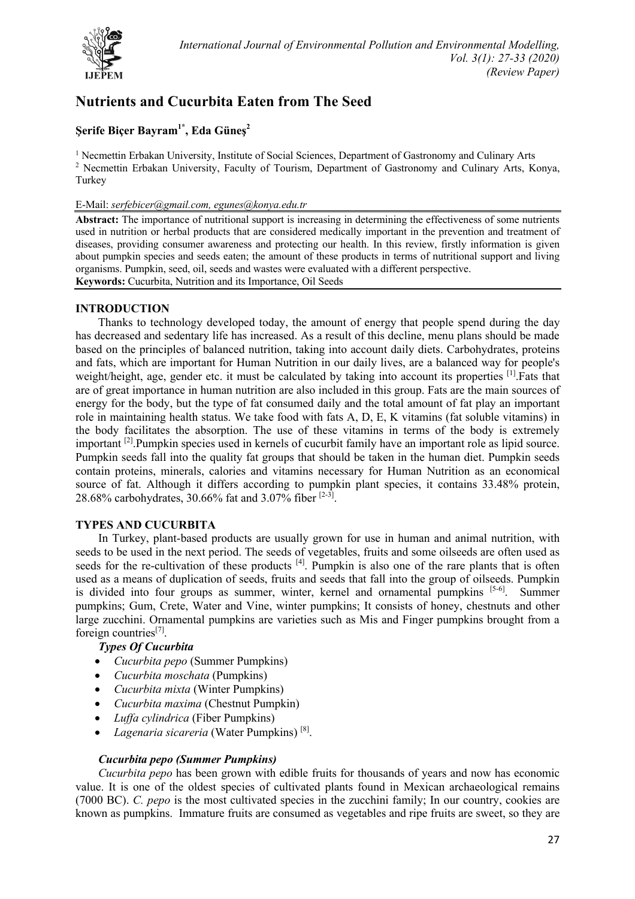

# **Nutrients and Cucurbita Eaten from The Seed**

# **Şerife Biçer Bayram1\* , Eda Güneş2**

<sup>1</sup> Necmettin Erbakan University, Institute of Social Sciences, Department of Gastronomy and Culinary Arts <sup>2</sup> Necmettin Erbakan University, Faculty of Tourism, Department of Gastronomy and Culinary Arts, Konya, Turkey

# E-Mail: *serfebicer@gmail.com, egunes@konya.edu.tr*

**Abstract:** The importance of nutritional support is increasing in determining the effectiveness of some nutrients used in nutrition or herbal products that are considered medically important in the prevention and treatment of diseases, providing consumer awareness and protecting our health. In this review, firstly information is given about pumpkin species and seeds eaten; the amount of these products in terms of nutritional support and living organisms. Pumpkin, seed, oil, seeds and wastes were evaluated with a different perspective. **Keywords:** Cucurbita, Nutrition and its Importance, Oil Seeds

# **INTRODUCTION**

Thanks to technology developed today, the amount of energy that people spend during the day has decreased and sedentary life has increased. As a result of this decline, menu plans should be made based on the principles of balanced nutrition, taking into account daily diets. Carbohydrates, proteins and fats, which are important for Human Nutrition in our daily lives, are a balanced way for people's weight/height, age, gender etc. it must be calculated by taking into account its properties [1]. Fats that are of great importance in human nutrition are also included in this group. Fats are the main sources of energy for the body, but the type of fat consumed daily and the total amount of fat play an important role in maintaining health status. We take food with fats A, D, E, K vitamins (fat soluble vitamins) in the body facilitates the absorption. The use of these vitamins in terms of the body is extremely important [2].Pumpkin species used in kernels of cucurbit family have an important role as lipid source. Pumpkin seeds fall into the quality fat groups that should be taken in the human diet. Pumpkin seeds contain proteins, minerals, calories and vitamins necessary for Human Nutrition as an economical source of fat. Although it differs according to pumpkin plant species, it contains 33.48% protein, 28.68% carbohydrates, 30.66% fat and 3.07% fiber [2-3].

# **TYPES AND CUCURBITA**

In Turkey, plant-based products are usually grown for use in human and animal nutrition, with seeds to be used in the next period. The seeds of vegetables, fruits and some oilseeds are often used as seeds for the re-cultivation of these products <sup>[4]</sup>. Pumpkin is also one of the rare plants that is often used as a means of duplication of seeds, fruits and seeds that fall into the group of oilseeds. Pumpkin is divided into four groups as summer, winter, kernel and ornamental pumpkins [5-6]. Summer pumpkins; Gum, Crete, Water and Vine, winter pumpkins; It consists of honey, chestnuts and other large zucchini. Ornamental pumpkins are varieties such as Mis and Finger pumpkins brought from a foreign countries[7].

# *Types Of Cucurbita*

- *Cucurbita pepo* (Summer Pumpkins)
- *Cucurbita moschata* (Pumpkins)
- *Cucurbita mixta* (Winter Pumpkins)
- *Cucurbita maxima* (Chestnut Pumpkin)
- *Luffa cylindrica* (Fiber Pumpkins)
- *Lagenaria sicareria* (Water Pumpkins) [8].

# *Cucurbita pepo (Summer Pumpkins)*

*Cucurbita pepo* has been grown with edible fruits for thousands of years and now has economic value. It is one of the oldest species of cultivated plants found in Mexican archaeological remains (7000 BC). *C. pepo* is the most cultivated species in the zucchini family; In our country, cookies are known as pumpkins. Immature fruits are consumed as vegetables and ripe fruits are sweet, so they are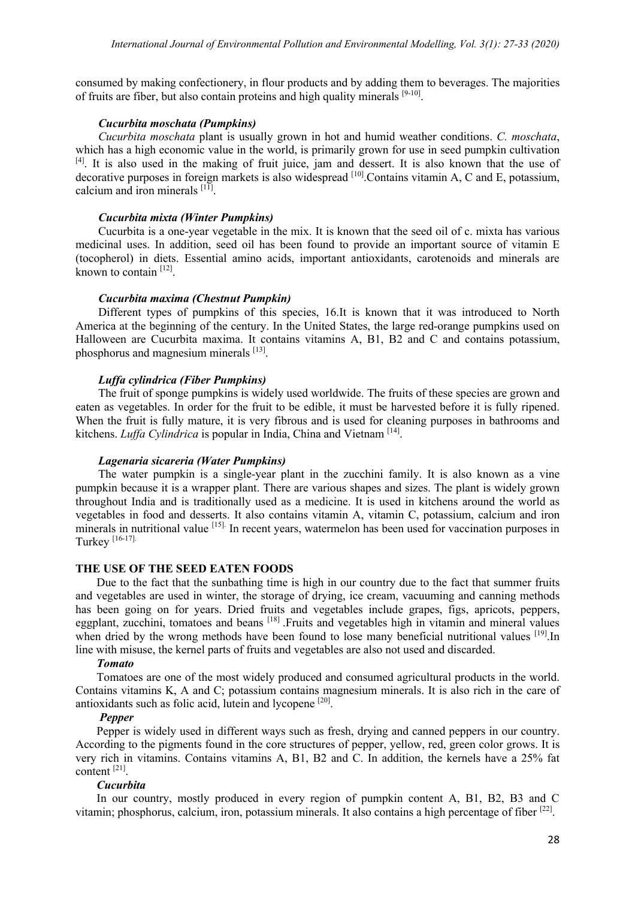consumed by making confectionery, in flour products and by adding them to beverages. The majorities of fruits are fiber, but also contain proteins and high quality minerals  $[9-10]$ .

#### *Cucurbita moschata (Pumpkins)*

*Cucurbita moschata* plant is usually grown in hot and humid weather conditions. *C. moschata*, which has a high economic value in the world, is primarily grown for use in seed pumpkin cultivation [4]. It is also used in the making of fruit juice, jam and dessert. It is also known that the use of decorative purposes in foreign markets is also widespread  $[10]$ . Contains vitamin A, C and E, potassium, calcium and iron minerals  $[11]$ .

#### *Cucurbita mixta (Winter Pumpkins)*

Cucurbita is a one-year vegetable in the mix. It is known that the seed oil of c. mixta has various medicinal uses. In addition, seed oil has been found to provide an important source of vitamin E (tocopherol) in diets. Essential amino acids, important antioxidants, carotenoids and minerals are known to contain  $[12]$ .

#### *Cucurbita maxima (Chestnut Pumpkin)*

Different types of pumpkins of this species, 16.It is known that it was introduced to North America at the beginning of the century. In the United States, the large red-orange pumpkins used on Halloween are Cucurbita maxima. It contains vitamins A, B1, B2 and C and contains potassium, phosphorus and magnesium minerals [13].

#### *Luffa cylindrica (Fiber Pumpkins)*

The fruit of sponge pumpkins is widely used worldwide. The fruits of these species are grown and eaten as vegetables. In order for the fruit to be edible, it must be harvested before it is fully ripened. When the fruit is fully mature, it is very fibrous and is used for cleaning purposes in bathrooms and kitchens. *Luffa Cylindrica* is popular in India, China and Vietnam [14].

# *Lagenaria sicareria (Water Pumpkins)*

The water pumpkin is a single-year plant in the zucchini family. It is also known as a vine pumpkin because it is a wrapper plant. There are various shapes and sizes. The plant is widely grown throughout India and is traditionally used as a medicine. It is used in kitchens around the world as vegetables in food and desserts. It also contains vitamin A, vitamin C, potassium, calcium and iron minerals in nutritional value [15]. In recent years, watermelon has been used for vaccination purposes in Turkey [16-17].

#### **THE USE OF THE SEED EATEN FOODS**

Due to the fact that the sunbathing time is high in our country due to the fact that summer fruits and vegetables are used in winter, the storage of drying, ice cream, vacuuming and canning methods has been going on for years. Dried fruits and vegetables include grapes, figs, apricots, peppers, eggplant, zucchini, tomatoes and beans <sup>[18]</sup>. Fruits and vegetables high in vitamin and mineral values when dried by the wrong methods have been found to lose many beneficial nutritional values [19]. In line with misuse, the kernel parts of fruits and vegetables are also not used and discarded.

#### *Tomato*

Tomatoes are one of the most widely produced and consumed agricultural products in the world. Contains vitamins K, A and C; potassium contains magnesium minerals. It is also rich in the care of antioxidants such as folic acid, lutein and lycopene [20].

#### *Pepper*

Pepper is widely used in different ways such as fresh, drying and canned peppers in our country. According to the pigments found in the core structures of pepper, yellow, red, green color grows. It is very rich in vitamins. Contains vitamins A, B1, B2 and C. In addition, the kernels have a 25% fat content [21].

#### *Cucurbita*

In our country, mostly produced in every region of pumpkin content A, B1, B2, B3 and C vitamin; phosphorus, calcium, iron, potassium minerals. It also contains a high percentage of fiber [22].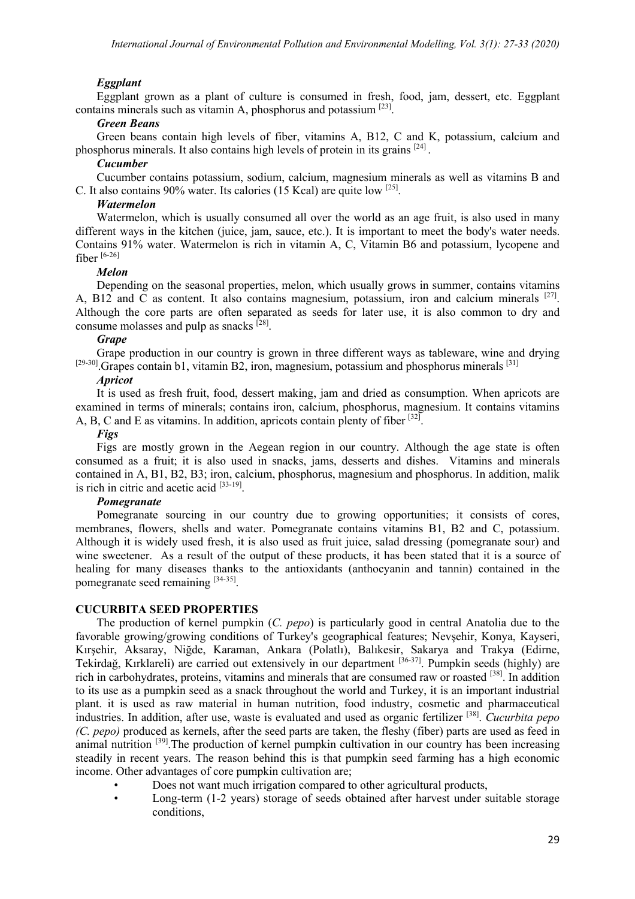# *Eggplant*

Eggplant grown as a plant of culture is consumed in fresh, food, jam, dessert, etc. Eggplant contains minerals such as vitamin A, phosphorus and potassium [23].

# *Green Beans*

Green beans contain high levels of fiber, vitamins A, B12, C and K, potassium, calcium and phosphorus minerals. It also contains high levels of protein in its grains [24] .

#### *Cucumber*

Cucumber contains potassium, sodium, calcium, magnesium minerals as well as vitamins B and C. It also contains 90% water. Its calories (15 Kcal) are quite low [25].

# *Watermelon*

Watermelon, which is usually consumed all over the world as an age fruit, is also used in many different ways in the kitchen (juice, jam, sauce, etc.). It is important to meet the body's water needs. Contains 91% water. Watermelon is rich in vitamin A, C, Vitamin B6 and potassium, lycopene and fiber [6-26]

#### *Melon*

Depending on the seasonal properties, melon, which usually grows in summer, contains vitamins A, B12 and C as content. It also contains magnesium, potassium, iron and calcium minerals <sup>[27]</sup>. Although the core parts are often separated as seeds for later use, it is also common to dry and consume molasses and pulp as snacks  $[28]$ .

#### *Grape*

Grape production in our country is grown in three different ways as tableware, wine and drying  $[29-30]$ . Grapes contain b1, vitamin B2, iron, magnesium, potassium and phosphorus minerals  $[31]$ 

# *Apricot*

It is used as fresh fruit, food, dessert making, jam and dried as consumption. When apricots are examined in terms of minerals; contains iron, calcium, phosphorus, magnesium. It contains vitamins A, B, C and E as vitamins. In addition, apricots contain plenty of fiber  $[32]$ .

#### *Figs*

Figs are mostly grown in the Aegean region in our country. Although the age state is often consumed as a fruit; it is also used in snacks, jams, desserts and dishes. Vitamins and minerals contained in A, B1, B2, B3; iron, calcium, phosphorus, magnesium and phosphorus. In addition, malik is rich in citric and acetic acid  $[33-19]$ .

# *Pomegranate*

Pomegranate sourcing in our country due to growing opportunities; it consists of cores, membranes, flowers, shells and water. Pomegranate contains vitamins B1, B2 and C, potassium. Although it is widely used fresh, it is also used as fruit juice, salad dressing (pomegranate sour) and wine sweetener. As a result of the output of these products, it has been stated that it is a source of healing for many diseases thanks to the antioxidants (anthocyanin and tannin) contained in the pomegranate seed remaining [34-35].

# **CUCURBITA SEED PROPERTIES**

The production of kernel pumpkin (*C. pepo*) is particularly good in central Anatolia due to the favorable growing/growing conditions of Turkey's geographical features; Nevşehir, Konya, Kayseri, Kırşehir, Aksaray, Niğde, Karaman, Ankara (Polatlı), Balıkesir, Sakarya and Trakya (Edirne, Tekirdağ, Kırklareli) are carried out extensively in our department [36-37]. Pumpkin seeds (highly) are rich in carbohydrates, proteins, vitamins and minerals that are consumed raw or roasted [38]. In addition to its use as a pumpkin seed as a snack throughout the world and Turkey, it is an important industrial plant. it is used as raw material in human nutrition, food industry, cosmetic and pharmaceutical industries. In addition, after use, waste is evaluated and used as organic fertilizer [38] . *Cucurbita pepo (C. pepo)* produced as kernels, after the seed parts are taken, the fleshy (fiber) parts are used as feed in animal nutrition <sup>[39]</sup>. The production of kernel pumpkin cultivation in our country has been increasing steadily in recent years. The reason behind this is that pumpkin seed farming has a high economic income. Other advantages of core pumpkin cultivation are;

- Does not want much irrigation compared to other agricultural products,
- Long-term (1-2 years) storage of seeds obtained after harvest under suitable storage conditions,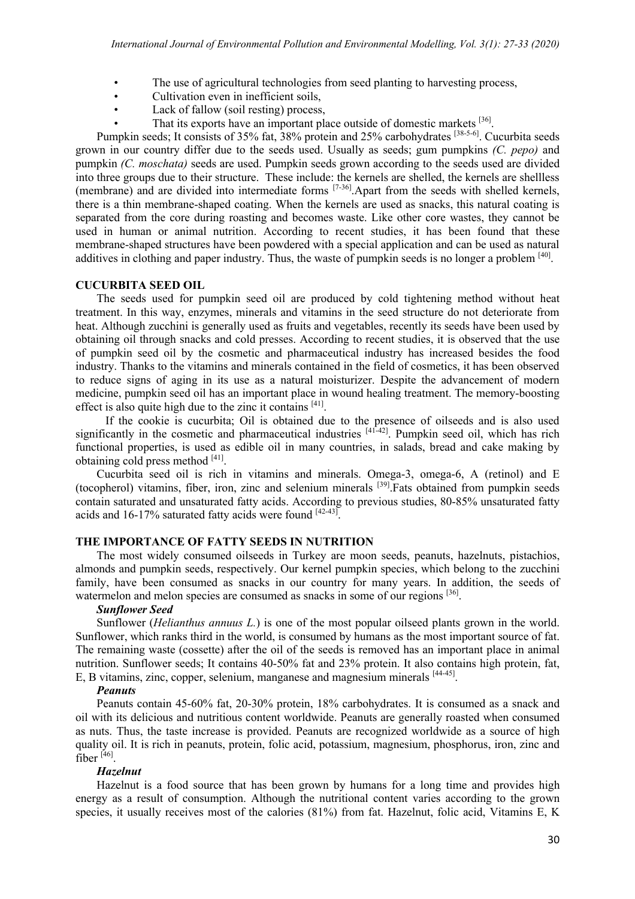- The use of agricultural technologies from seed planting to harvesting process,
- Cultivation even in inefficient soils,
- Lack of fallow (soil resting) process,
- That its exports have an important place outside of domestic markets [36].

Pumpkin seeds; It consists of 35% fat, 38% protein and 25% carbohydrates [38-5-6]. Cucurbita seeds grown in our country differ due to the seeds used. Usually as seeds; gum pumpkins *(C. pepo)* and pumpkin *(C. moschata)* seeds are used. Pumpkin seeds grown according to the seeds used are divided into three groups due to their structure. These include: the kernels are shelled, the kernels are shellless (membrane) and are divided into intermediate forms [7-36]. Apart from the seeds with shelled kernels, there is a thin membrane-shaped coating. When the kernels are used as snacks, this natural coating is separated from the core during roasting and becomes waste. Like other core wastes, they cannot be used in human or animal nutrition. According to recent studies, it has been found that these membrane-shaped structures have been powdered with a special application and can be used as natural additives in clothing and paper industry. Thus, the waste of pumpkin seeds is no longer a problem [40].

#### **CUCURBITA SEED OIL**

The seeds used for pumpkin seed oil are produced by cold tightening method without heat treatment. In this way, enzymes, minerals and vitamins in the seed structure do not deteriorate from heat. Although zucchini is generally used as fruits and vegetables, recently its seeds have been used by obtaining oil through snacks and cold presses. According to recent studies, it is observed that the use of pumpkin seed oil by the cosmetic and pharmaceutical industry has increased besides the food industry. Thanks to the vitamins and minerals contained in the field of cosmetics, it has been observed to reduce signs of aging in its use as a natural moisturizer. Despite the advancement of modern medicine, pumpkin seed oil has an important place in wound healing treatment. The memory-boosting effect is also quite high due to the zinc it contains [41].

 If the cookie is cucurbita; Oil is obtained due to the presence of oilseeds and is also used significantly in the cosmetic and pharmaceutical industries  $[41-42]$ . Pumpkin seed oil, which has rich functional properties, is used as edible oil in many countries, in salads, bread and cake making by obtaining cold press method [41].

Cucurbita seed oil is rich in vitamins and minerals. Omega-3, omega-6, A (retinol) and E (tocopherol) vitamins, fiber, iron, zinc and selenium minerals [39] .Fats obtained from pumpkin seeds contain saturated and unsaturated fatty acids. According to previous studies, 80-85% unsaturated fatty acids and 16-17% saturated fatty acids were found [42-43].

# **THE IMPORTANCE OF FATTY SEEDS IN NUTRITION**

The most widely consumed oilseeds in Turkey are moon seeds, peanuts, hazelnuts, pistachios, almonds and pumpkin seeds, respectively. Our kernel pumpkin species, which belong to the zucchini family, have been consumed as snacks in our country for many years. In addition, the seeds of watermelon and melon species are consumed as snacks in some of our regions [36].

#### *Sunflower Seed*

Sunflower (*Helianthus annuus L.*) is one of the most popular oilseed plants grown in the world. Sunflower, which ranks third in the world, is consumed by humans as the most important source of fat. The remaining waste (cossette) after the oil of the seeds is removed has an important place in animal nutrition. Sunflower seeds; It contains 40-50% fat and 23% protein. It also contains high protein, fat, E, B vitamins, zinc, copper, selenium, manganese and magnesium minerals [44-45].

#### *Peanuts*

Peanuts contain 45-60% fat, 20-30% protein, 18% carbohydrates. It is consumed as a snack and oil with its delicious and nutritious content worldwide. Peanuts are generally roasted when consumed as nuts. Thus, the taste increase is provided. Peanuts are recognized worldwide as a source of high quality oil. It is rich in peanuts, protein, folic acid, potassium, magnesium, phosphorus, iron, zinc and fiber [46].

#### *Hazelnut*

Hazelnut is a food source that has been grown by humans for a long time and provides high energy as a result of consumption. Although the nutritional content varies according to the grown species, it usually receives most of the calories (81%) from fat. Hazelnut, folic acid, Vitamins E, K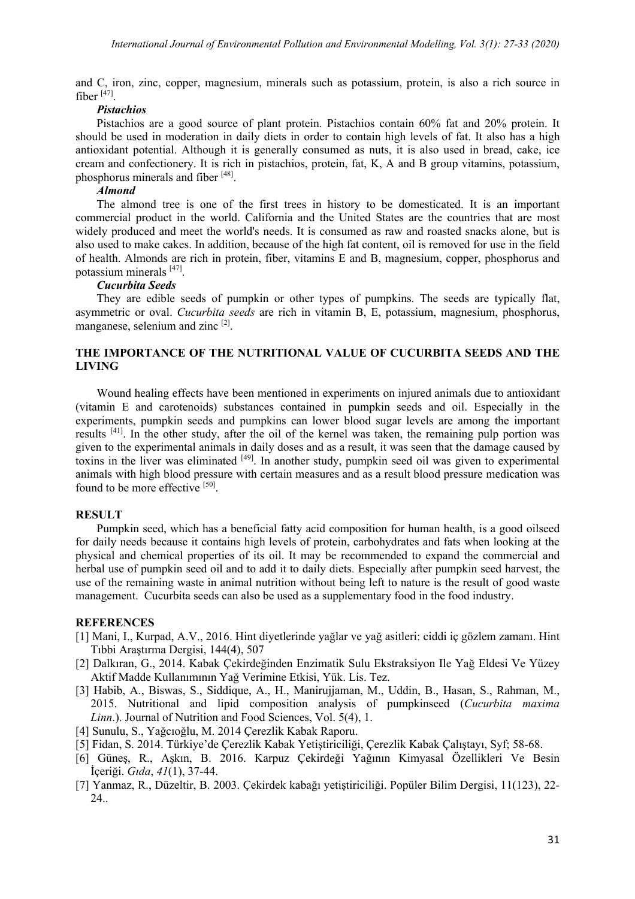and C, iron, zinc, copper, magnesium, minerals such as potassium, protein, is also a rich source in fiber  $[47]$ .

#### *Pistachios*

Pistachios are a good source of plant protein. Pistachios contain 60% fat and 20% protein. It should be used in moderation in daily diets in order to contain high levels of fat. It also has a high antioxidant potential. Although it is generally consumed as nuts, it is also used in bread, cake, ice cream and confectionery. It is rich in pistachios, protein, fat, K, A and B group vitamins, potassium, phosphorus minerals and fiber [48].

#### *Almond*

The almond tree is one of the first trees in history to be domesticated. It is an important commercial product in the world. California and the United States are the countries that are most widely produced and meet the world's needs. It is consumed as raw and roasted snacks alone, but is also used to make cakes. In addition, because of the high fat content, oil is removed for use in the field of health. Almonds are rich in protein, fiber, vitamins E and B, magnesium, copper, phosphorus and potassium minerals [47].

# *Cucurbita Seeds*

They are edible seeds of pumpkin or other types of pumpkins. The seeds are typically flat, asymmetric or oval. *Cucurbita seeds* are rich in vitamin B, E, potassium, magnesium, phosphorus, manganese, selenium and zinc<sup>[2]</sup>.

# **THE IMPORTANCE OF THE NUTRITIONAL VALUE OF CUCURBITA SEEDS AND THE LIVING**

Wound healing effects have been mentioned in experiments on injured animals due to antioxidant (vitamin E and carotenoids) substances contained in pumpkin seeds and oil. Especially in the experiments, pumpkin seeds and pumpkins can lower blood sugar levels are among the important results <sup>[41]</sup>. In the other study, after the oil of the kernel was taken, the remaining pulp portion was given to the experimental animals in daily doses and as a result, it was seen that the damage caused by toxins in the liver was eliminated [49]. In another study, pumpkin seed oil was given to experimental animals with high blood pressure with certain measures and as a result blood pressure medication was found to be more effective [50].

#### **RESULT**

Pumpkin seed, which has a beneficial fatty acid composition for human health, is a good oilseed for daily needs because it contains high levels of protein, carbohydrates and fats when looking at the physical and chemical properties of its oil. It may be recommended to expand the commercial and herbal use of pumpkin seed oil and to add it to daily diets. Especially after pumpkin seed harvest, the use of the remaining waste in animal nutrition without being left to nature is the result of good waste management. Cucurbita seeds can also be used as a supplementary food in the food industry.

#### **REFERENCES**

- [1] Mani, I., Kurpad, A.V., 2016. Hint diyetlerinde yağlar ve yağ asitleri: ciddi iç gözlem zamanı. Hint Tıbbi Araştırma Dergisi, 144(4), 507
- [2] Dalkıran, G., 2014. Kabak Çekirdeğinden Enzimatik Sulu Ekstraksiyon Ile Yağ Eldesi Ve Yüzey Aktif Madde Kullanımının Yağ Verimine Etkisi, Yük. Lis. Tez.
- [3] Habib, A., Biswas, S., Siddique, A., H., Manirujjaman, M., Uddin, B., Hasan, S., Rahman, M., 2015. Nutritional and lipid composition analysis of pumpkinseed (*Cucurbita maxima Linn*.). Journal of Nutrition and Food Sciences, Vol. 5(4), 1.
- [4] Sunulu, S., Yağcıoğlu, M. 2014 Çerezlik Kabak Raporu.
- [5] Fidan, S. 2014. Türkiye'de Çerezlik Kabak Yetiştiriciliği, Çerezlik Kabak Çalıştayı, Syf; 58-68.
- [6] Güneş, R., Aşkın, B. 2016. Karpuz Çekirdeği Yağının Kimyasal Özellikleri Ve Besin İçeriği. *Gıda*, *41*(1), 37-44.
- [7] Yanmaz, R., Düzeltir, B. 2003. Çekirdek kabağı yetiştiriciliği. Popüler Bilim Dergisi, 11(123), 22- 24..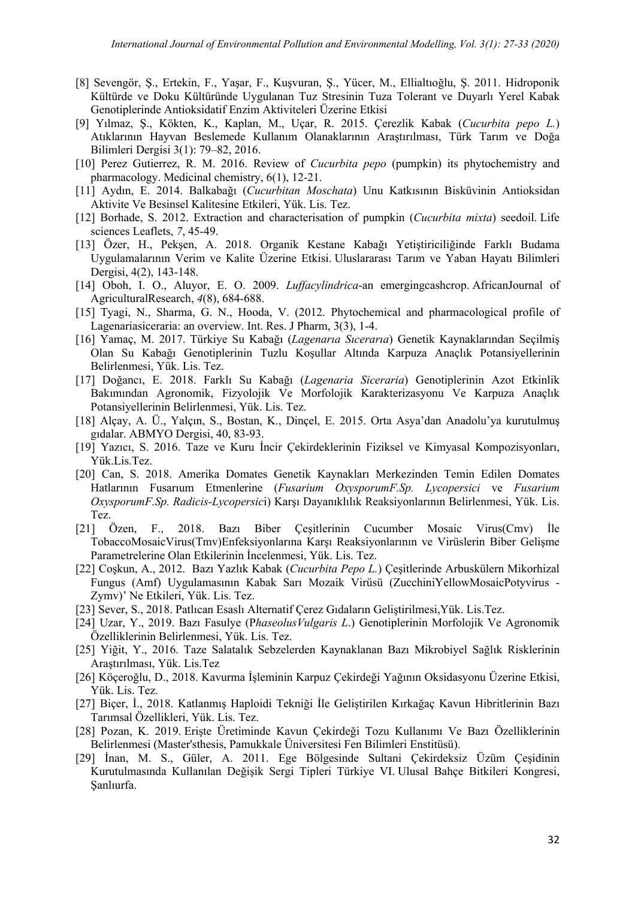- [8] Sevengör, Ş., Ertekin, F., Yaşar, F., Kuşvuran, Ş., Yücer, M., Ellialtıoğlu, Ş. 2011. Hidroponik Kültürde ve Doku Kültüründe Uygulanan Tuz Stresinin Tuza Tolerant ve Duyarlı Yerel Kabak Genotiplerinde Antioksidatif Enzim Aktiviteleri Üzerine Etkisi
- [9] Yılmaz, Ş., Kökten, K., Kaplan, M., Uçar, R. 2015. Çerezlik Kabak (*Cucurbita pepo L.*) Atıklarının Hayvan Beslemede Kullanım Olanaklarının Araştırılması, Türk Tarım ve Doğa Bilimleri Dergisi 3(1): 79–82, 2016.
- [10] Perez Gutierrez, R. M. 2016. Review of *Cucurbita pepo* (pumpkin) its phytochemistry and pharmacology. Medicinal chemistry, 6(1), 12-21.
- [11] Aydın, E. 2014. Balkabağı (*Cucurbitan Moschata*) Unu Katkısının Bisküvinin Antioksidan Aktivite Ve Besinsel Kalitesine Etkileri, Yük. Lis. Tez.
- [12] Borhade, S. 2012. Extraction and characterisation of pumpkin (*Cucurbita mixta*) seedoil. Life sciences Leaflets, *7*, 45-49.
- [13] Özer, H., Pekşen, A. 2018. Organik Kestane Kabağı Yetiştiriciliğinde Farklı Budama Uygulamalarının Verim ve Kalite Üzerine Etkisi. Uluslararası Tarım ve Yaban Hayatı Bilimleri Dergisi, 4(2), 143-148.
- [14] Oboh, I. O., Aluyor, E. O. 2009. *Luffacylindrica*-an emergingcashcrop. AfricanJournal of AgriculturalResearch, *4*(8), 684-688.
- [15] Tyagi, N., Sharma, G. N., Hooda, V. (2012. Phytochemical and pharmacological profile of Lagenariasiceraria: an overview. Int. Res. J Pharm, 3(3), 1-4.
- [16] Yamaç, M. 2017. Türkiye Su Kabağı (*Lagenarıa Sıcerarıa*) Genetik Kaynaklarından Seçilmiş Olan Su Kabağı Genotiplerinin Tuzlu Koşullar Altında Karpuza Anaçlık Potansiyellerinin Belirlenmesi, Yük. Lis. Tez.
- [17] Doğancı, E. 2018. Farklı Su Kabağı (*Lagenaria Siceraria*) Genotiplerinin Azot Etkinlik Bakımından Agronomik, Fizyolojik Ve Morfolojik Karakterizasyonu Ve Karpuza Anaçlık Potansiyellerinin Belirlenmesi, Yük. Lis. Tez.
- [18] Alçay, A. Ü., Yalçın, S., Bostan, K., Dinçel, E. 2015. Orta Asya'dan Anadolu'ya kurutulmuş gıdalar. ABMYO Dergisi, 40, 83-93.
- [19] Yazıcı, S. 2016. Taze ve Kuru İncir Çekirdeklerinin Fiziksel ve Kimyasal Kompozisyonları, Yük.Lis.Tez.
- [20] Can, S. 2018. Amerika Domates Genetik Kaynakları Merkezinden Temin Edilen Domates Hatlarının Fusarıum Etmenlerine (*Fusarium OxysporumF.Sp. Lycopersici* ve *Fusarium OxysporumF.Sp. Radicis-Lycopersic*i) Karşı Dayanıklılık Reaksiyonlarının Belirlenmesi, Yük. Lis. Tez.
- [21] Özen, F., 2018. Bazı Biber Çeşitlerinin Cucumber Mosaic Virus(Cmv) İle TobaccoMosaicVirus(Tmv)Enfeksiyonlarına Karşı Reaksiyonlarının ve Virüslerin Biber Gelişme Parametrelerine Olan Etkilerinin İncelenmesi, Yük. Lis. Tez.
- [22] Coşkun, A., 2012. Bazı Yazlık Kabak (*Cucurbita Pepo L.*) Çeşitlerinde Arbuskülern Mikorhizal Fungus (Amf) Uygulamasının Kabak Sarı Mozaik Virüsü (ZucchiniYellowMosaicPotyvirus - Zymv)' Ne Etkileri, Yük. Lis. Tez.
- [23] Sever, S., 2018. Patlıcan Esaslı Alternatif Çerez Gıdaların Geliştirilmesi,Yük. Lis.Tez.
- [24] Uzar, Y., 2019. Bazı Fasulye (P*haseolusVulgaris L*.) Genotiplerinin Morfolojik Ve Agronomik Özelliklerinin Belirlenmesi, Yük. Lis. Tez.
- [25] Yiğit, Y., 2016. Taze Salatalık Sebzelerden Kaynaklanan Bazı Mikrobiyel Sağlık Risklerinin Araştırılması, Yük. Lis.Tez
- [26] Köçeroğlu, D., 2018. Kavurma İşleminin Karpuz Çekirdeği Yağının Oksidasyonu Üzerine Etkisi, Yük. Lis. Tez.
- [27] Biçer, İ., 2018. Katlanmış Haploidi Tekniği İle Geliştirilen Kırkağaç Kavun Hibritlerinin Bazı Tarımsal Özellikleri, Yük. Lis. Tez.
- [28] Pozan, K. 2019. Erişte Üretiminde Kavun Çekirdeği Tozu Kullanımı Ve Bazı Özelliklerinin Belirlenmesi (Master'sthesis, Pamukkale Üniversitesi Fen Bilimleri Enstitüsü).
- [29] İnan, M. S., Güler, A. 2011. Ege Bölgesinde Sultani Çekirdeksiz Üzüm Çeşidinin Kurutulmasında Kullanılan Değişik Sergi Tipleri Türkiye VI. Ulusal Bahçe Bitkileri Kongresi, Şanlıurfa.